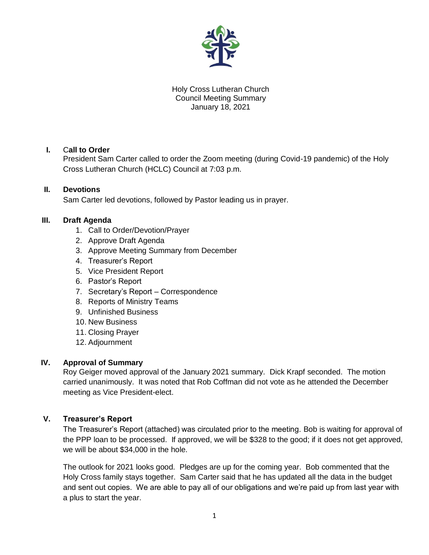

Holy Cross Lutheran Church Council Meeting Summary January 18, 2021

## **I.** C**all to Order**

President Sam Carter called to order the Zoom meeting (during Covid-19 pandemic) of the Holy Cross Lutheran Church (HCLC) Council at 7:03 p.m.

## **II. Devotions**

Sam Carter led devotions, followed by Pastor leading us in prayer.

## **III. Draft Agenda**

- 1. Call to Order/Devotion/Prayer
- 2. Approve Draft Agenda
- 3. Approve Meeting Summary from December
- 4. Treasurer's Report
- 5. Vice President Report
- 6. Pastor's Report
- 7. Secretary's Report Correspondence
- 8. Reports of Ministry Teams
- 9. Unfinished Business
- 10. New Business
- 11. Closing Prayer
- 12. Adjournment

### **IV. Approval of Summary**

Roy Geiger moved approval of the January 2021 summary. Dick Krapf seconded. The motion carried unanimously. It was noted that Rob Coffman did not vote as he attended the December meeting as Vice President-elect.

### **V. Treasurer's Report**

The Treasurer's Report (attached) was circulated prior to the meeting. Bob is waiting for approval of the PPP loan to be processed. If approved, we will be \$328 to the good; if it does not get approved, we will be about \$34,000 in the hole.

The outlook for 2021 looks good. Pledges are up for the coming year. Bob commented that the Holy Cross family stays together. Sam Carter said that he has updated all the data in the budget and sent out copies. We are able to pay all of our obligations and we're paid up from last year with a plus to start the year.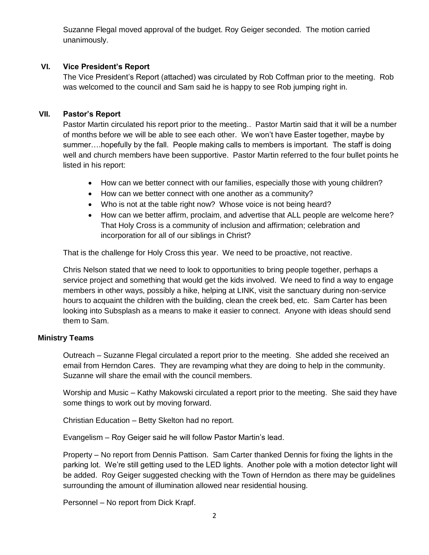Suzanne Flegal moved approval of the budget. Roy Geiger seconded. The motion carried unanimously.

# **VI. Vice President's Report**

The Vice President's Report (attached) was circulated by Rob Coffman prior to the meeting. Rob was welcomed to the council and Sam said he is happy to see Rob jumping right in.

# **VII. Pastor's Report**

Pastor Martin circulated his report prior to the meeting.. Pastor Martin said that it will be a number of months before we will be able to see each other. We won't have Easter together, maybe by summer….hopefully by the fall. People making calls to members is important. The staff is doing well and church members have been supportive. Pastor Martin referred to the four bullet points he listed in his report:

- How can we better connect with our families, especially those with young children?
- How can we better connect with one another as a community?
- Who is not at the table right now? Whose voice is not being heard?
- How can we better affirm, proclaim, and advertise that ALL people are welcome here? That Holy Cross is a community of inclusion and affirmation; celebration and incorporation for all of our siblings in Christ?

That is the challenge for Holy Cross this year. We need to be proactive, not reactive.

Chris Nelson stated that we need to look to opportunities to bring people together, perhaps a service project and something that would get the kids involved. We need to find a way to engage members in other ways, possibly a hike, helping at LINK, visit the sanctuary during non-service hours to acquaint the children with the building, clean the creek bed, etc. Sam Carter has been looking into Subsplash as a means to make it easier to connect. Anyone with ideas should send them to Sam.

# **Ministry Teams**

Outreach – Suzanne Flegal circulated a report prior to the meeting. She added she received an email from Herndon Cares. They are revamping what they are doing to help in the community. Suzanne will share the email with the council members.

Worship and Music – Kathy Makowski circulated a report prior to the meeting. She said they have some things to work out by moving forward.

Christian Education – Betty Skelton had no report.

Evangelism – Roy Geiger said he will follow Pastor Martin's lead.

Property – No report from Dennis Pattison. Sam Carter thanked Dennis for fixing the lights in the parking lot. We're still getting used to the LED lights. Another pole with a motion detector light will be added. Roy Geiger suggested checking with the Town of Herndon as there may be guidelines surrounding the amount of illumination allowed near residential housing.

Personnel – No report from Dick Krapf.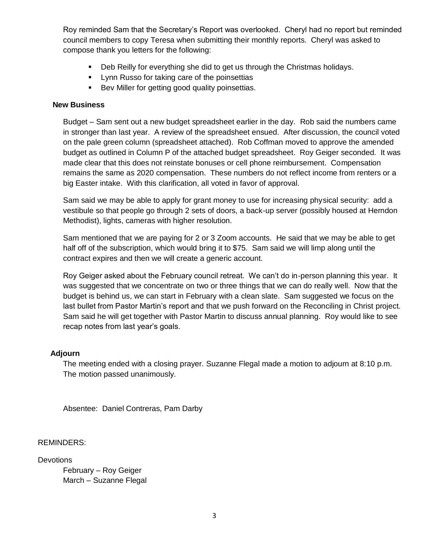Roy reminded Sam that the Secretary's Report was overlooked. Cheryl had no report but reminded council members to copy Teresa when submitting their monthly reports. Cheryl was asked to compose thank you letters for the following:

- Deb Reilly for everything she did to get us through the Christmas holidays.
- **Lynn Russo for taking care of the poinsettias**
- Bev Miller for getting good quality poinsettias.

### **New Business**

Budget – Sam sent out a new budget spreadsheet earlier in the day. Rob said the numbers came in stronger than last year. A review of the spreadsheet ensued. After discussion, the council voted on the pale green column (spreadsheet attached). Rob Coffman moved to approve the amended budget as outlined in Column P of the attached budget spreadsheet. Roy Geiger seconded. It was made clear that this does not reinstate bonuses or cell phone reimbursement. Compensation remains the same as 2020 compensation. These numbers do not reflect income from renters or a big Easter intake. With this clarification, all voted in favor of approval.

Sam said we may be able to apply for grant money to use for increasing physical security: add a vestibule so that people go through 2 sets of doors, a back-up server (possibly housed at Herndon Methodist), lights, cameras with higher resolution.

Sam mentioned that we are paying for 2 or 3 Zoom accounts. He said that we may be able to get half off of the subscription, which would bring it to \$75. Sam said we will limp along until the contract expires and then we will create a generic account.

Roy Geiger asked about the February council retreat. We can't do in-person planning this year. It was suggested that we concentrate on two or three things that we can do really well. Now that the budget is behind us, we can start in February with a clean slate. Sam suggested we focus on the last bullet from Pastor Martin's report and that we push forward on the Reconciling in Christ project. Sam said he will get together with Pastor Martin to discuss annual planning. Roy would like to see recap notes from last year's goals.

### **Adjourn**

The meeting ended with a closing prayer. Suzanne Flegal made a motion to adjourn at 8:10 p.m. The motion passed unanimously.

Absentee: Daniel Contreras, Pam Darby

### REMINDERS:

**Devotions** 

February – Roy Geiger March – Suzanne Flegal